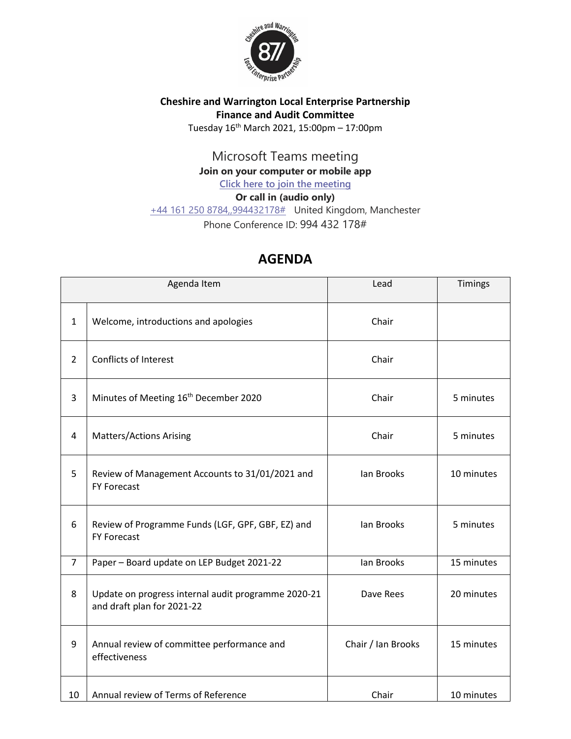

## **Cheshire and Warrington Local Enterprise Partnership Finance and Audit Committee** Tuesday  $16^{th}$  March 2021, 15:00pm - 17:00pm

Microsoft Teams meeting

**Join on your computer or mobile app**

**[Click here to join the meeting](https://teams.microsoft.com/l/meetup-join/19%3ameeting_NzU0ZWFlN2QtYTU1ZS00MTZlLTlkOTUtNTRlZjEzNmM4NjE1%40thread.v2/0?context=%7b%22Tid%22%3a%229fdc30f0-07e8-4ece-96e4-5daef8d479d1%22%2c%22Oid%22%3a%2210048e38-4d2c-454f-88cf-2b878c148880%22%7d)**

**Or call in (audio only)** [+44 161 250 8784,,994432178#](tel:+441612508784,,994432178# ) United Kingdom, Manchester Phone Conference ID: 994 432 178#

## **AGENDA**

| Agenda Item    |                                                                                   | Lead               | Timings    |
|----------------|-----------------------------------------------------------------------------------|--------------------|------------|
| $\mathbf{1}$   | Welcome, introductions and apologies                                              | Chair              |            |
| $\overline{2}$ | <b>Conflicts of Interest</b>                                                      | Chair              |            |
| 3              | Minutes of Meeting 16 <sup>th</sup> December 2020                                 | Chair              | 5 minutes  |
| 4              | <b>Matters/Actions Arising</b>                                                    | Chair              | 5 minutes  |
| 5              | Review of Management Accounts to 31/01/2021 and<br><b>FY Forecast</b>             | lan Brooks         | 10 minutes |
| 6              | Review of Programme Funds (LGF, GPF, GBF, EZ) and<br><b>FY Forecast</b>           | lan Brooks         | 5 minutes  |
| $\overline{7}$ | Paper - Board update on LEP Budget 2021-22                                        | Ian Brooks         | 15 minutes |
| 8              | Update on progress internal audit programme 2020-21<br>and draft plan for 2021-22 | Dave Rees          | 20 minutes |
| 9              | Annual review of committee performance and<br>effectiveness                       | Chair / Ian Brooks | 15 minutes |
| 10             | Annual review of Terms of Reference                                               | Chair              | 10 minutes |